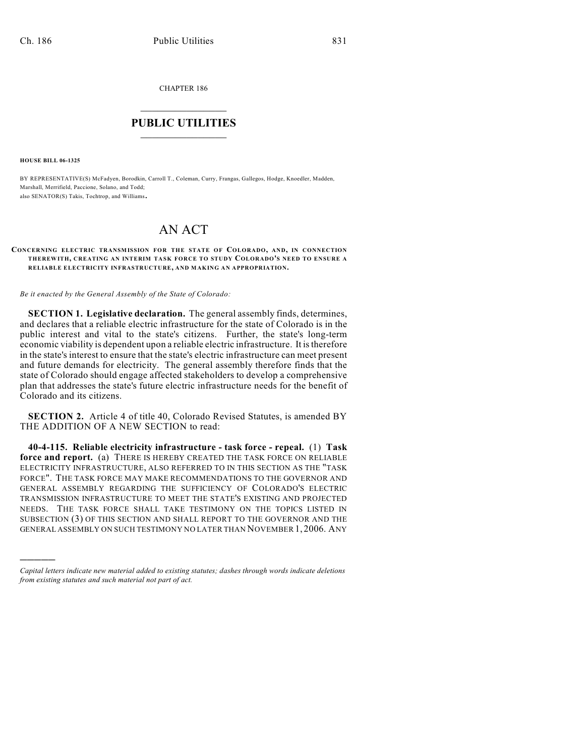CHAPTER 186

## $\mathcal{L}_\text{max}$  . The set of the set of the set of the set of the set of the set of the set of the set of the set of the set of the set of the set of the set of the set of the set of the set of the set of the set of the set **PUBLIC UTILITIES** \_\_\_\_\_\_\_\_\_\_\_\_\_\_\_

**HOUSE BILL 06-1325**

)))))

BY REPRESENTATIVE(S) McFadyen, Borodkin, Carroll T., Coleman, Curry, Frangas, Gallegos, Hodge, Knoedler, Madden, Marshall, Merrifield, Paccione, Solano, and Todd; also SENATOR(S) Takis, Tochtrop, and Williams.

## AN ACT

## **CONCERNING ELECTRIC TRANSM ISSION FOR THE STATE OF COLORADO, AND, IN CONNECTION THEREWITH, CREATING AN INTERIM TASK FORCE TO STUDY COLORADO'S NEED TO ENSURE A RELIABLE ELECTRICITY INFRASTRUCTURE, AND MAKING AN APPROPRIATION.**

*Be it enacted by the General Assembly of the State of Colorado:*

**SECTION 1. Legislative declaration.** The general assembly finds, determines, and declares that a reliable electric infrastructure for the state of Colorado is in the public interest and vital to the state's citizens. Further, the state's long-term economic viability is dependent upon a reliable electric infrastructure. It is therefore in the state's interest to ensure that the state's electric infrastructure can meet present and future demands for electricity. The general assembly therefore finds that the state of Colorado should engage affected stakeholders to develop a comprehensive plan that addresses the state's future electric infrastructure needs for the benefit of Colorado and its citizens.

**SECTION 2.** Article 4 of title 40, Colorado Revised Statutes, is amended BY THE ADDITION OF A NEW SECTION to read:

**40-4-115. Reliable electricity infrastructure - task force - repeal.** (1) **Task force and report.** (a) THERE IS HEREBY CREATED THE TASK FORCE ON RELIABLE ELECTRICITY INFRASTRUCTURE, ALSO REFERRED TO IN THIS SECTION AS THE "TASK FORCE". THE TASK FORCE MAY MAKE RECOMMENDATIONS TO THE GOVERNOR AND GENERAL ASSEMBLY REGARDING THE SUFFICIENCY OF COLORADO'S ELECTRIC TRANSMISSION INFRASTRUCTURE TO MEET THE STATE'S EXISTING AND PROJECTED NEEDS. THE TASK FORCE SHALL TAKE TESTIMONY ON THE TOPICS LISTED IN SUBSECTION (3) OF THIS SECTION AND SHALL REPORT TO THE GOVERNOR AND THE GENERAL ASSEMBLY ON SUCH TESTIMONY NO LATER THAN NOVEMBER 1, 2006. ANY

*Capital letters indicate new material added to existing statutes; dashes through words indicate deletions from existing statutes and such material not part of act.*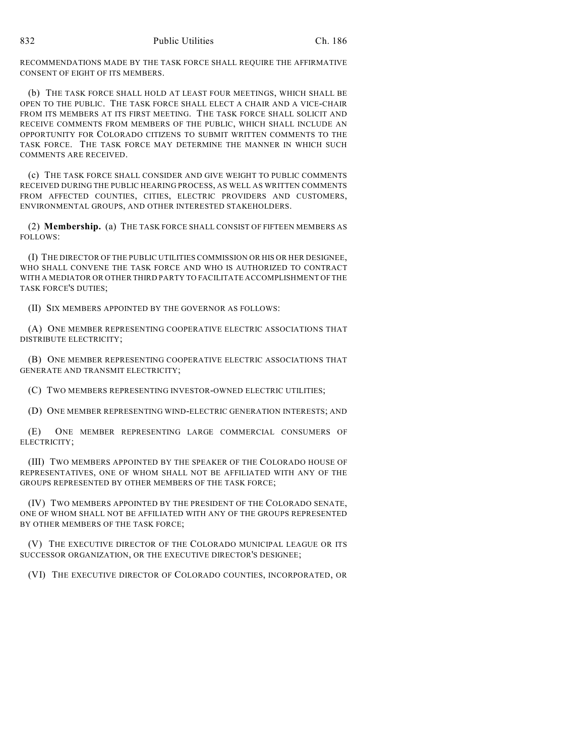RECOMMENDATIONS MADE BY THE TASK FORCE SHALL REQUIRE THE AFFIRMATIVE CONSENT OF EIGHT OF ITS MEMBERS.

(b) THE TASK FORCE SHALL HOLD AT LEAST FOUR MEETINGS, WHICH SHALL BE OPEN TO THE PUBLIC. THE TASK FORCE SHALL ELECT A CHAIR AND A VICE-CHAIR FROM ITS MEMBERS AT ITS FIRST MEETING. THE TASK FORCE SHALL SOLICIT AND RECEIVE COMMENTS FROM MEMBERS OF THE PUBLIC, WHICH SHALL INCLUDE AN OPPORTUNITY FOR COLORADO CITIZENS TO SUBMIT WRITTEN COMMENTS TO THE TASK FORCE. THE TASK FORCE MAY DETERMINE THE MANNER IN WHICH SUCH COMMENTS ARE RECEIVED.

(c) THE TASK FORCE SHALL CONSIDER AND GIVE WEIGHT TO PUBLIC COMMENTS RECEIVED DURING THE PUBLIC HEARING PROCESS, AS WELL AS WRITTEN COMMENTS FROM AFFECTED COUNTIES, CITIES, ELECTRIC PROVIDERS AND CUSTOMERS, ENVIRONMENTAL GROUPS, AND OTHER INTERESTED STAKEHOLDERS.

(2) **Membership.** (a) THE TASK FORCE SHALL CONSIST OF FIFTEEN MEMBERS AS FOLLOWS:

(I) THE DIRECTOR OFTHE PUBLIC UTILITIES COMMISSION OR HIS OR HER DESIGNEE, WHO SHALL CONVENE THE TASK FORCE AND WHO IS AUTHORIZED TO CONTRACT WITH A MEDIATOR OR OTHER THIRD PARTY TO FACILITATE ACCOMPLISHMENT OF THE TASK FORCE'S DUTIES;

(II) SIX MEMBERS APPOINTED BY THE GOVERNOR AS FOLLOWS:

(A) ONE MEMBER REPRESENTING COOPERATIVE ELECTRIC ASSOCIATIONS THAT DISTRIBUTE ELECTRICITY;

(B) ONE MEMBER REPRESENTING COOPERATIVE ELECTRIC ASSOCIATIONS THAT GENERATE AND TRANSMIT ELECTRICITY;

(C) TWO MEMBERS REPRESENTING INVESTOR-OWNED ELECTRIC UTILITIES;

(D) ONE MEMBER REPRESENTING WIND-ELECTRIC GENERATION INTERESTS; AND

(E) ONE MEMBER REPRESENTING LARGE COMMERCIAL CONSUMERS OF ELECTRICITY;

(III) TWO MEMBERS APPOINTED BY THE SPEAKER OF THE COLORADO HOUSE OF REPRESENTATIVES, ONE OF WHOM SHALL NOT BE AFFILIATED WITH ANY OF THE GROUPS REPRESENTED BY OTHER MEMBERS OF THE TASK FORCE;

(IV) TWO MEMBERS APPOINTED BY THE PRESIDENT OF THE COLORADO SENATE, ONE OF WHOM SHALL NOT BE AFFILIATED WITH ANY OF THE GROUPS REPRESENTED BY OTHER MEMBERS OF THE TASK FORCE;

(V) THE EXECUTIVE DIRECTOR OF THE COLORADO MUNICIPAL LEAGUE OR ITS SUCCESSOR ORGANIZATION, OR THE EXECUTIVE DIRECTOR'S DESIGNEE;

(VI) THE EXECUTIVE DIRECTOR OF COLORADO COUNTIES, INCORPORATED, OR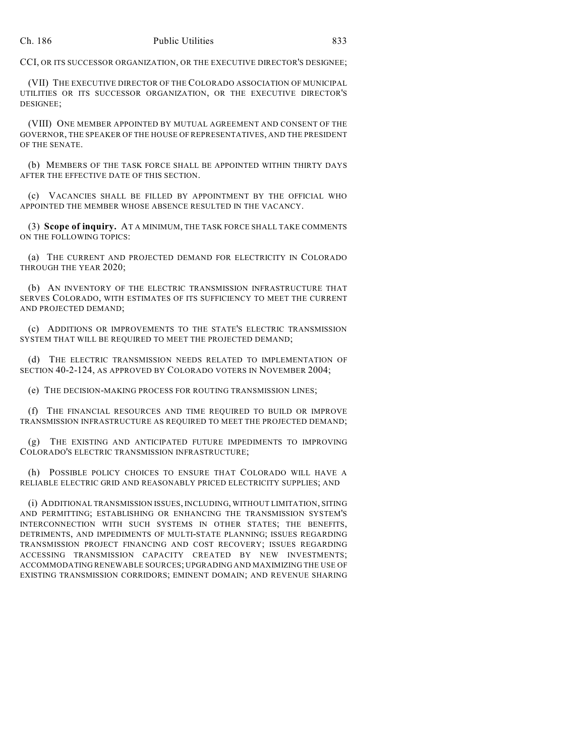CCI, OR ITS SUCCESSOR ORGANIZATION, OR THE EXECUTIVE DIRECTOR'S DESIGNEE;

(VII) THE EXECUTIVE DIRECTOR OF THE COLORADO ASSOCIATION OF MUNICIPAL UTILITIES OR ITS SUCCESSOR ORGANIZATION, OR THE EXECUTIVE DIRECTOR'S DESIGNEE;

(VIII) ONE MEMBER APPOINTED BY MUTUAL AGREEMENT AND CONSENT OF THE GOVERNOR, THE SPEAKER OF THE HOUSE OF REPRESENTATIVES, AND THE PRESIDENT OF THE SENATE.

(b) MEMBERS OF THE TASK FORCE SHALL BE APPOINTED WITHIN THIRTY DAYS AFTER THE EFFECTIVE DATE OF THIS SECTION.

(c) VACANCIES SHALL BE FILLED BY APPOINTMENT BY THE OFFICIAL WHO APPOINTED THE MEMBER WHOSE ABSENCE RESULTED IN THE VACANCY.

(3) **Scope of inquiry.** AT A MINIMUM, THE TASK FORCE SHALL TAKE COMMENTS ON THE FOLLOWING TOPICS:

(a) THE CURRENT AND PROJECTED DEMAND FOR ELECTRICITY IN COLORADO THROUGH THE YEAR 2020;

(b) AN INVENTORY OF THE ELECTRIC TRANSMISSION INFRASTRUCTURE THAT SERVES COLORADO, WITH ESTIMATES OF ITS SUFFICIENCY TO MEET THE CURRENT AND PROJECTED DEMAND;

(c) ADDITIONS OR IMPROVEMENTS TO THE STATE'S ELECTRIC TRANSMISSION SYSTEM THAT WILL BE REQUIRED TO MEET THE PROJECTED DEMAND;

(d) THE ELECTRIC TRANSMISSION NEEDS RELATED TO IMPLEMENTATION OF SECTION 40-2-124, AS APPROVED BY COLORADO VOTERS IN NOVEMBER 2004;

(e) THE DECISION-MAKING PROCESS FOR ROUTING TRANSMISSION LINES;

(f) THE FINANCIAL RESOURCES AND TIME REQUIRED TO BUILD OR IMPROVE TRANSMISSION INFRASTRUCTURE AS REQUIRED TO MEET THE PROJECTED DEMAND;

(g) THE EXISTING AND ANTICIPATED FUTURE IMPEDIMENTS TO IMPROVING COLORADO'S ELECTRIC TRANSMISSION INFRASTRUCTURE;

(h) POSSIBLE POLICY CHOICES TO ENSURE THAT COLORADO WILL HAVE A RELIABLE ELECTRIC GRID AND REASONABLY PRICED ELECTRICITY SUPPLIES; AND

(i) ADDITIONAL TRANSMISSION ISSUES, INCLUDING, WITHOUT LIMITATION, SITING AND PERMITTING; ESTABLISHING OR ENHANCING THE TRANSMISSION SYSTEM'S INTERCONNECTION WITH SUCH SYSTEMS IN OTHER STATES; THE BENEFITS, DETRIMENTS, AND IMPEDIMENTS OF MULTI-STATE PLANNING; ISSUES REGARDING TRANSMISSION PROJECT FINANCING AND COST RECOVERY; ISSUES REGARDING ACCESSING TRANSMISSION CAPACITY CREATED BY NEW INVESTMENTS; ACCOMMODATING RENEWABLE SOURCES; UPGRADING AND MAXIMIZING THE USE OF EXISTING TRANSMISSION CORRIDORS; EMINENT DOMAIN; AND REVENUE SHARING